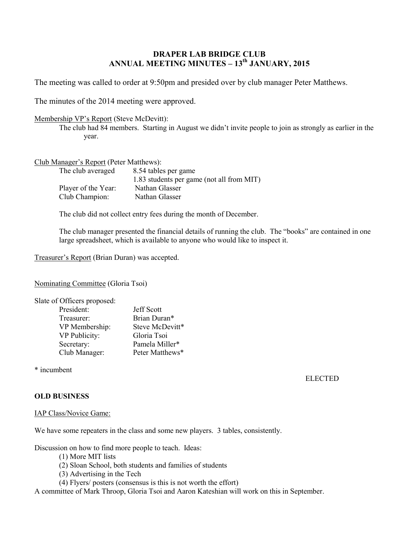# **DRAPER LAB BRIDGE CLUB ANNUAL MEETING MINUTES – 13 th JANUARY, 2015**

The meeting was called to order at 9:50pm and presided over by club manager Peter Matthews.

The minutes of the 2014 meeting were approved.

#### Membership VP's Report (Steve McDevitt):

The club had 84 members. Starting in August we didn't invite people to join as strongly as earlier in the year.

## Club Manager's Report (Peter Matthews):

| The club averaged   | 8.54 tables per game                      |  |
|---------------------|-------------------------------------------|--|
|                     | 1.83 students per game (not all from MIT) |  |
| Player of the Year: | Nathan Glasser                            |  |
| Club Champion:      | Nathan Glasser                            |  |

The club did not collect entry fees during the month of December.

The club manager presented the financial details of running the club. The "books" are contained in one large spreadsheet, which is available to anyone who would like to inspect it.

Treasurer's Report (Brian Duran) was accepted.

Nominating Committee (Gloria Tsoi)

| Slate of Officers proposed: |                   |
|-----------------------------|-------------------|
| President:                  | <b>Jeff Scott</b> |
| Treasurer:                  | Brian Duran*      |
| VP Membership:              | Steve McDevitt*   |
| VP Publicity:               | Gloria Tsoi       |
| Secretary:                  | Pamela Miller*    |
| Club Manager:               | Peter Matthews*   |
|                             |                   |

\* incumbent

ELECTED

## **OLD BUSINESS**

#### IAP Class/Novice Game:

We have some repeaters in the class and some new players. 3 tables, consistently.

Discussion on how to find more people to teach. Ideas:

- (1) More MIT lists
- (2) Sloan School, both students and families of students
- (3) Advertising in the Tech
- (4) Flyers/ posters (consensus is this is not worth the effort)

A committee of Mark Throop, Gloria Tsoi and Aaron Kateshian will work on this in September.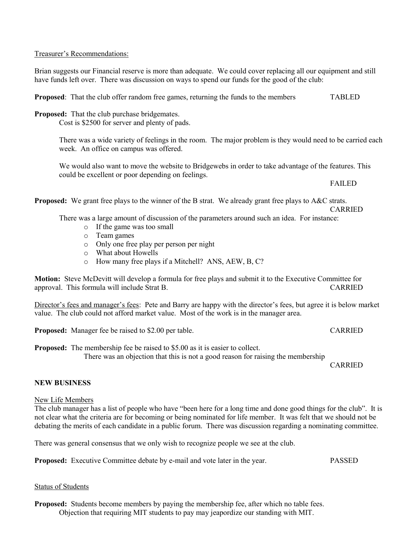### Treasurer's Recommendations:

Brian suggests our Financial reserve is more than adequate. We could cover replacing all our equipment and still have funds left over. There was discussion on ways to spend our funds for the good of the club:

**Proposed:** That the club offer random free games, returning the funds to the members TABLED

**Proposed:** That the club purchase bridgemates.

Cost is \$2500 for server and plenty of pads.

There was a wide variety of feelings in the room. The major problem is they would need to be carried each week. An office on campus was offered.

We would also want to move the website to Bridgewebs in order to take advantage of the features. This could be excellent or poor depending on feelings.

FAILED

**Proposed:** We grant free plays to the winner of the B strat. We already grant free plays to A&C strats.

CARRIED

There was a large amount of discussion of the parameters around such an idea. For instance:

- o If the game was too small
- o Team games
- o Only one free play per person per night
- o What about Howells
- o How many free plays if a Mitchell? ANS, AEW, B, C?

**Motion:** Steve McDevitt will develop a formula for free plays and submit it to the Executive Committee for approval. This formula will include Strat B. CARRIED

Director's fees and manager's fees: Pete and Barry are happy with the director's fees, but agree it is below market value. The club could not afford market value. Most of the work is in the manager area.

**Proposed:** Manager fee be raised to \$2.00 per table. CARRIED

**Proposed:** The membership fee be raised to \$5.00 as it is easier to collect. There was an objection that this is not a good reason for raising the membership

CARRIED

## **NEW BUSINESS**

#### New Life Members

The club manager has a list of people who have "been here for a long time and done good things for the club". It is not clear what the criteria are for becoming or being nominated for life member. It was felt that we should not be debating the merits of each candidate in a public forum. There was discussion regarding a nominating committee.

There was general consensus that we only wish to recognize people we see at the club.

**Proposed:** Executive Committee debate by e-mail and vote later in the year. PASSED

#### Status of Students

**Proposed:** Students become members by paying the membership fee, after which no table fees. Objection that requiring MIT students to pay may jeapordize our standing with MIT.